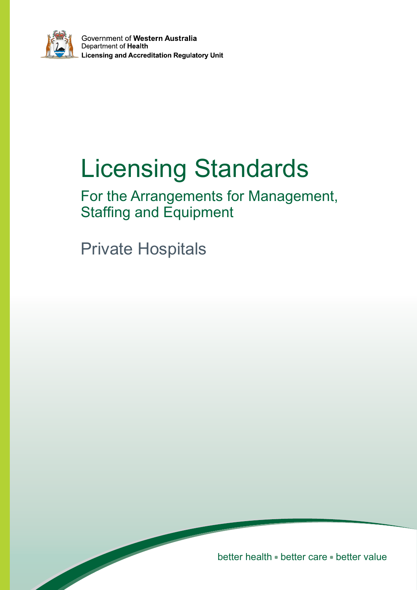

Government of Western Australia Department of Health **Licensing and Accreditation Regulatory Unit** 

# Licensing Standards

For the Arrangements for Management, Staffing and Equipment

Private Hospitals

better health \* better care \* better value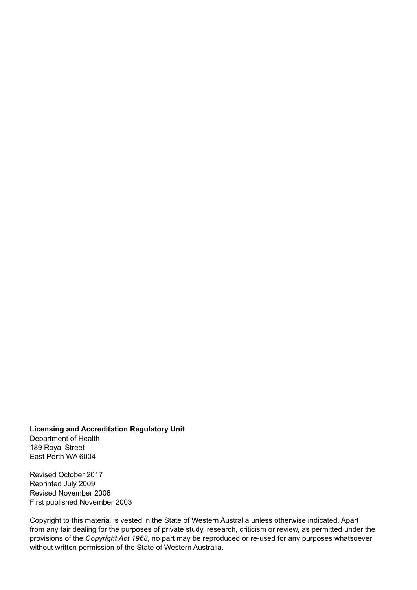**Licensing and Accreditation Regulatory Unit** Department of Health 189 Royal Street East Perth WA 6004

Revised October 2017 Reprinted July 2009 Revised November 2006 First published November 2003

Copyright to this material is vested in the State of Western Australia unless otherwise indicated. Apart from any fair dealing for the purposes of private study, research, criticism or review, as permitted under the provisions of the *Copyright Act 1968*, no part may be reproduced or re-used for any purposes whatsoever without written permission of the State of Western Australia.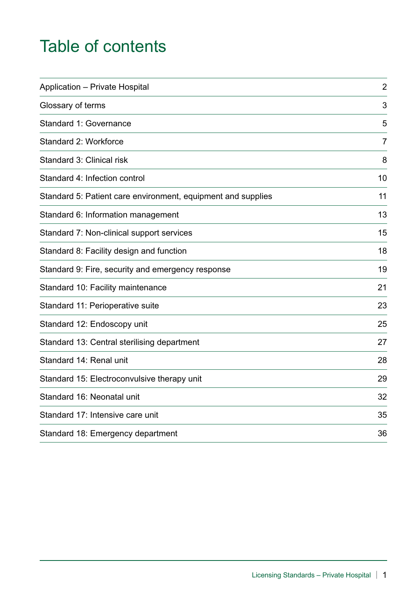# Table of contents

| <b>Application - Private Hospital</b>                        | $\overline{2}$ |
|--------------------------------------------------------------|----------------|
| Glossary of terms                                            | 3              |
| Standard 1: Governance                                       | 5              |
| Standard 2: Workforce                                        | $\overline{7}$ |
| Standard 3: Clinical risk                                    | 8              |
| Standard 4: Infection control                                | 10             |
| Standard 5: Patient care environment, equipment and supplies | 11             |
| Standard 6: Information management                           | 13             |
| Standard 7: Non-clinical support services                    | 15             |
| Standard 8: Facility design and function                     | 18             |
| Standard 9: Fire, security and emergency response            | 19             |
| Standard 10: Facility maintenance                            | 21             |
| Standard 11: Perioperative suite                             | 23             |
| Standard 12: Endoscopy unit                                  | 25             |
| Standard 13: Central sterilising department                  | 27             |
| Standard 14: Renal unit                                      | 28             |
| Standard 15: Electroconvulsive therapy unit                  | 29             |
| Standard 16: Neonatal unit                                   | 32             |
| Standard 17: Intensive care unit                             | 35             |
| Standard 18: Emergency department                            | 36             |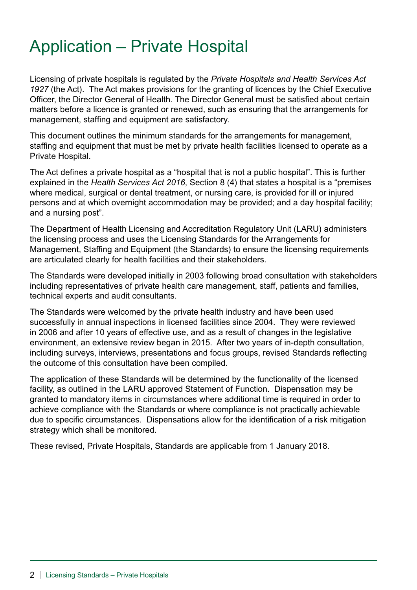# Application – Private Hospital

Licensing of private hospitals is regulated by the *Private Hospitals and Health Services Act 1927* (the Act). The Act makes provisions for the granting of licences by the Chief Executive Officer, the Director General of Health. The Director General must be satisfied about certain matters before a licence is granted or renewed, such as ensuring that the arrangements for management, staffing and equipment are satisfactory.

This document outlines the minimum standards for the arrangements for management, staffing and equipment that must be met by private health facilities licensed to operate as a Private Hospital.

The Act defines a private hospital as a "hospital that is not a public hospital". This is further explained in the *Health Services Act 2016*, Section 8 (4) that states a hospital is a "premises where medical, surgical or dental treatment, or nursing care, is provided for ill or injured persons and at which overnight accommodation may be provided; and a day hospital facility; and a nursing post".

The Department of Health Licensing and Accreditation Regulatory Unit (LARU) administers the licensing process and uses the Licensing Standards for the Arrangements for Management, Staffing and Equipment (the Standards) to ensure the licensing requirements are articulated clearly for health facilities and their stakeholders.

The Standards were developed initially in 2003 following broad consultation with stakeholders including representatives of private health care management, staff, patients and families, technical experts and audit consultants.

The Standards were welcomed by the private health industry and have been used successfully in annual inspections in licensed facilities since 2004. They were reviewed in 2006 and after 10 years of effective use, and as a result of changes in the legislative environment, an extensive review began in 2015. After two years of in-depth consultation, including surveys, interviews, presentations and focus groups, revised Standards reflecting the outcome of this consultation have been compiled.

The application of these Standards will be determined by the functionality of the licensed facility, as outlined in the LARU approved Statement of Function. Dispensation may be granted to mandatory items in circumstances where additional time is required in order to achieve compliance with the Standards or where compliance is not practically achievable due to specific circumstances. Dispensations allow for the identification of a risk mitigation strategy which shall be monitored.

These revised, Private Hospitals, Standards are applicable from 1 January 2018.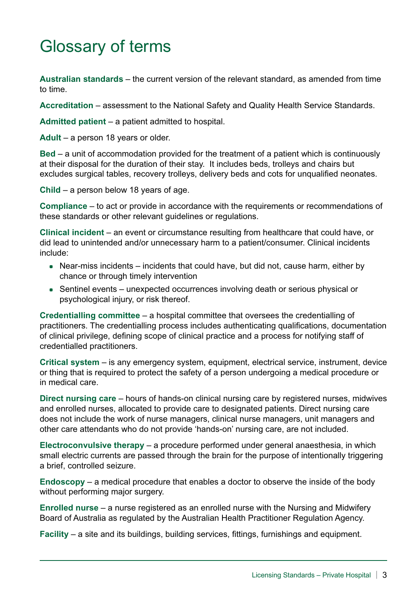# Glossary of terms

**Australian standards** – the current version of the relevant standard, as amended from time to time.

**Accreditation** – assessment to the National Safety and Quality Health Service Standards.

**Admitted patient** – a patient admitted to hospital.

**Adult** – a person 18 years or older.

**Bed** – a unit of accommodation provided for the treatment of a patient which is continuously at their disposal for the duration of their stay. It includes beds, trolleys and chairs but excludes surgical tables, recovery trolleys, delivery beds and cots for unqualified neonates.

**Child** – a person below 18 years of age.

**Compliance** – to act or provide in accordance with the requirements or recommendations of these standards or other relevant guidelines or regulations.

**Clinical incident** – an event or circumstance resulting from healthcare that could have, or did lead to unintended and/or unnecessary harm to a patient/consumer. Clinical incidents include:

- Near-miss incidents incidents that could have, but did not, cause harm, either by chance or through timely intervention
- Sentinel events unexpected occurrences involving death or serious physical or psychological injury, or risk thereof.

**Credentialling committee** – a hospital committee that oversees the credentialling of practitioners. The credentialling process includes authenticating qualifications, documentation of clinical privilege, defining scope of clinical practice and a process for notifying staff of credentialled practitioners.

**Critical system** – is any emergency system, equipment, electrical service, instrument, device or thing that is required to protect the safety of a person undergoing a medical procedure or in medical care.

**Direct nursing care** – hours of hands-on clinical nursing care by registered nurses, midwives and enrolled nurses, allocated to provide care to designated patients. Direct nursing care does not include the work of nurse managers, clinical nurse managers, unit managers and other care attendants who do not provide 'hands-on' nursing care, are not included.

**Electroconvulsive therapy** – a procedure performed under general anaesthesia, in which small electric currents are passed through the brain for the purpose of intentionally triggering a brief, controlled seizure.

**Endoscopy** – a medical procedure that enables a doctor to observe the inside of the body without performing major surgery.

**Enrolled nurse** – a nurse registered as an enrolled nurse with the Nursing and Midwifery Board of Australia as regulated by the Australian Health Practitioner Regulation Agency.

**Facility** – a site and its buildings, building services, fittings, furnishings and equipment.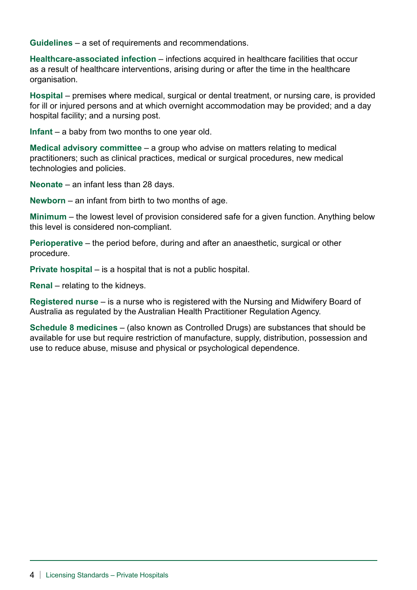**Guidelines** – a set of requirements and recommendations.

**Healthcare-associated infection** – infections acquired in healthcare facilities that occur as a result of healthcare interventions, arising during or after the time in the healthcare organisation.

**Hospital** – premises where medical, surgical or dental treatment, or nursing care, is provided for ill or injured persons and at which overnight accommodation may be provided; and a day hospital facility; and a nursing post.

**Infant** – a baby from two months to one year old.

**Medical advisory committee** – a group who advise on matters relating to medical practitioners; such as clinical practices, medical or surgical procedures, new medical technologies and policies.

**Neonate** – an infant less than 28 days.

**Newborn** – an infant from birth to two months of age.

**Minimum** – the lowest level of provision considered safe for a given function. Anything below this level is considered non-compliant.

**Perioperative** – the period before, during and after an anaesthetic, surgical or other procedure.

**Private hospital** – is a hospital that is not a public hospital.

**Renal** – relating to the kidneys.

**Registered nurse** – is a nurse who is registered with the Nursing and Midwifery Board of Australia as regulated by the Australian Health Practitioner Regulation Agency.

**Schedule 8 medicines** – (also known as Controlled Drugs) are substances that should be available for use but require restriction of manufacture, supply, distribution, possession and use to reduce abuse, misuse and physical or psychological dependence.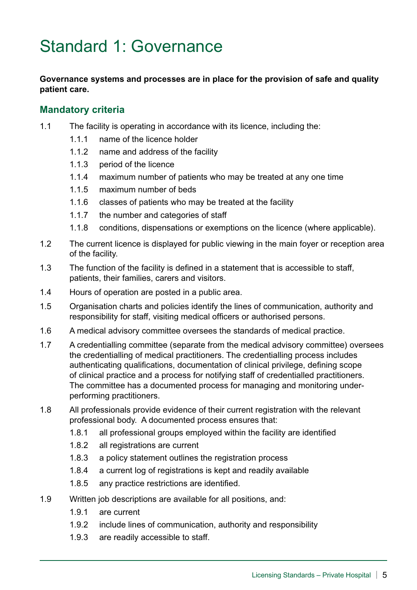# Standard 1: Governance

#### **Governance systems and processes are in place for the provision of safe and quality patient care.**

- 1.1 The facility is operating in accordance with its licence, including the:
	- 1.1.1 name of the licence holder
	- 1.1.2 name and address of the facility
	- 1.1.3 period of the licence
	- 1.1.4 maximum number of patients who may be treated at any one time
	- 1.1.5 maximum number of beds
	- 1.1.6 classes of patients who may be treated at the facility
	- 1.1.7 the number and categories of staff
	- 1.1.8 conditions, dispensations or exemptions on the licence (where applicable).
- 1.2 The current licence is displayed for public viewing in the main foyer or reception area of the facility.
- 1.3 The function of the facility is defined in a statement that is accessible to staff, patients, their families, carers and visitors.
- 1.4 Hours of operation are posted in a public area.
- 1.5 Organisation charts and policies identify the lines of communication, authority and responsibility for staff, visiting medical officers or authorised persons.
- 1.6 A medical advisory committee oversees the standards of medical practice.
- 1.7 A credentialling committee (separate from the medical advisory committee) oversees the credentialling of medical practitioners. The credentialling process includes authenticating qualifications, documentation of clinical privilege, defining scope of clinical practice and a process for notifying staff of credentialled practitioners. The committee has a documented process for managing and monitoring underperforming practitioners.
- 1.8 All professionals provide evidence of their current registration with the relevant professional body. A documented process ensures that:
	- 1.8.1 all professional groups employed within the facility are identified
	- 1.8.2 all registrations are current
	- 1.8.3 a policy statement outlines the registration process
	- 1.8.4 a current log of registrations is kept and readily available
	- 1.8.5 any practice restrictions are identified.
- 1.9 Written job descriptions are available for all positions, and:
	- 1.9.1 are current
	- 1.9.2 include lines of communication, authority and responsibility
	- 1.9.3 are readily accessible to staff.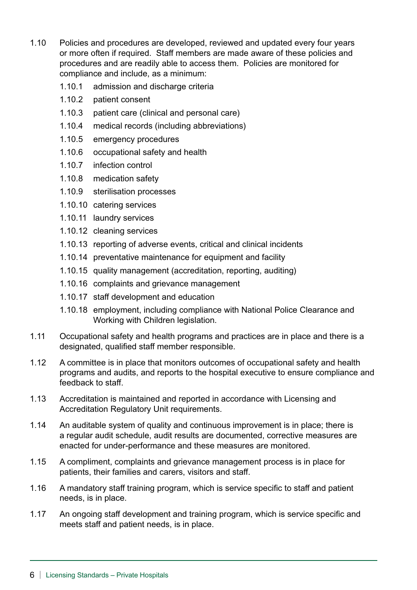- 1.10 Policies and procedures are developed, reviewed and updated every four years or more often if required. Staff members are made aware of these policies and procedures and are readily able to access them. Policies are monitored for compliance and include, as a minimum:
	- 1.10.1 admission and discharge criteria
	- 1.10.2 patient consent
	- 1.10.3 patient care (clinical and personal care)
	- 1.10.4 medical records (including abbreviations)
	- 1.10.5 emergency procedures
	- 1.10.6 occupational safety and health
	- 1.10.7 infection control
	- 1.10.8 medication safety
	- 1.10.9 sterilisation processes
	- 1.10.10 catering services
	- 1.10.11 laundry services
	- 1.10.12 cleaning services
	- 1.10.13 reporting of adverse events, critical and clinical incidents
	- 1.10.14 preventative maintenance for equipment and facility
	- 1.10.15 quality management (accreditation, reporting, auditing)
	- 1.10.16 complaints and grievance management
	- 1.10.17 staff development and education
	- 1.10.18 employment, including compliance with National Police Clearance and Working with Children legislation.
- 1.11 Occupational safety and health programs and practices are in place and there is a designated, qualified staff member responsible.
- 1.12 A committee is in place that monitors outcomes of occupational safety and health programs and audits, and reports to the hospital executive to ensure compliance and feedback to staff.
- 1.13 Accreditation is maintained and reported in accordance with Licensing and Accreditation Regulatory Unit requirements.
- 1.14 An auditable system of quality and continuous improvement is in place; there is a regular audit schedule, audit results are documented, corrective measures are enacted for under-performance and these measures are monitored.
- 1.15 A compliment, complaints and grievance management process is in place for patients, their families and carers, visitors and staff.
- 1.16 A mandatory staff training program, which is service specific to staff and patient needs, is in place.
- 1.17 An ongoing staff development and training program, which is service specific and meets staff and patient needs, is in place.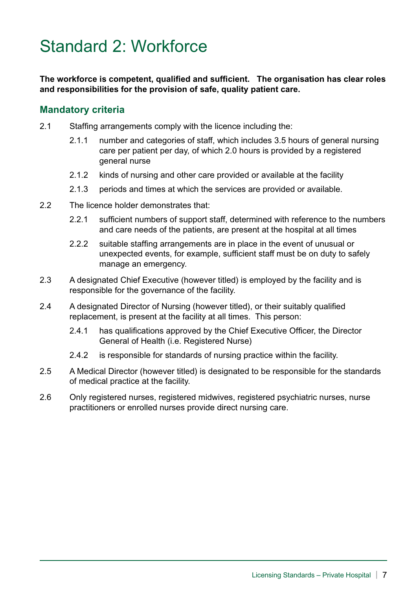# Standard 2: Workforce

**The workforce is competent, qualified and sufficient. The organisation has clear roles and responsibilities for the provision of safe, quality patient care.** 

- 2.1 Staffing arrangements comply with the licence including the:
	- 2.1.1 number and categories of staff, which includes 3.5 hours of general nursing care per patient per day, of which 2.0 hours is provided by a registered general nurse
	- 2.1.2 kinds of nursing and other care provided or available at the facility
	- 2.1.3 periods and times at which the services are provided or available.
- 2.2 The licence holder demonstrates that:
	- 2.2.1 sufficient numbers of support staff, determined with reference to the numbers and care needs of the patients, are present at the hospital at all times
	- 2.2.2 suitable staffing arrangements are in place in the event of unusual or unexpected events, for example, sufficient staff must be on duty to safely manage an emergency.
- 2.3 A designated Chief Executive (however titled) is employed by the facility and is responsible for the governance of the facility.
- 2.4 A designated Director of Nursing (however titled), or their suitably qualified replacement, is present at the facility at all times. This person:
	- 2.4.1 has qualifications approved by the Chief Executive Officer, the Director General of Health (i.e. Registered Nurse)
	- 2.4.2 is responsible for standards of nursing practice within the facility.
- 2.5 A Medical Director (however titled) is designated to be responsible for the standards of medical practice at the facility.
- 2.6 Only registered nurses, registered midwives, registered psychiatric nurses, nurse practitioners or enrolled nurses provide direct nursing care.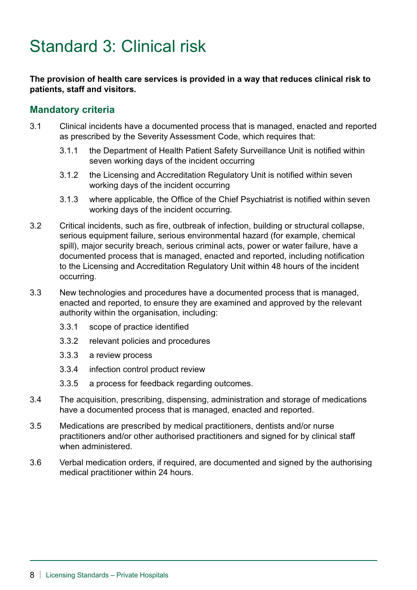# Standard 3: Clinical risk

#### **The provision of health care services is provided in a way that reduces clinical risk to patients, staff and visitors.**

- 3.1 Clinical incidents have a documented process that is managed, enacted and reported as prescribed by the Severity Assessment Code, which requires that:
	- 3.1.1 the Department of Health Patient Safety Surveillance Unit is notified within seven working days of the incident occurring
	- 3.1.2 the Licensing and Accreditation Regulatory Unit is notified within seven working days of the incident occurring
	- 3.1.3 where applicable, the Office of the Chief Psychiatrist is notified within seven working days of the incident occurring.
- 3.2 Critical incidents, such as fire, outbreak of infection, building or structural collapse, serious equipment failure, serious environmental hazard (for example, chemical spill), major security breach, serious criminal acts, power or water failure, have a documented process that is managed, enacted and reported, including notification to the Licensing and Accreditation Regulatory Unit within 48 hours of the incident occurring.
- 3.3 New technologies and procedures have a documented process that is managed, enacted and reported, to ensure they are examined and approved by the relevant authority within the organisation, including:
	- 3.3.1 scope of practice identified
	- 3.3.2 relevant policies and procedures
	- 3.3.3 a review process
	- 3.3.4 infection control product review
	- 3.3.5 a process for feedback regarding outcomes.
- 3.4 The acquisition, prescribing, dispensing, administration and storage of medications have a documented process that is managed, enacted and reported.
- 3.5 Medications are prescribed by medical practitioners, dentists and/or nurse practitioners and/or other authorised practitioners and signed for by clinical staff when administered.
- 3.6 Verbal medication orders, if required, are documented and signed by the authorising medical practitioner within 24 hours.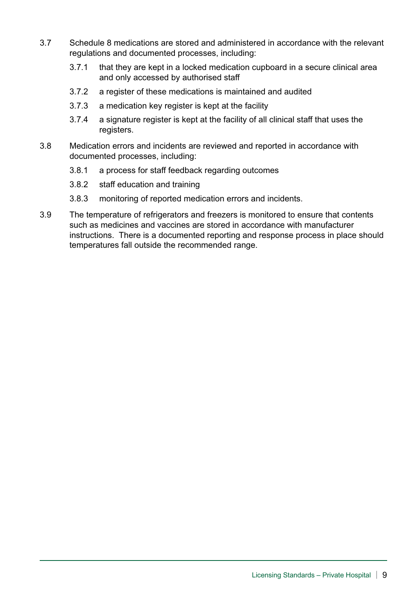- 3.7 Schedule 8 medications are stored and administered in accordance with the relevant regulations and documented processes, including:
	- 3.7.1 that they are kept in a locked medication cupboard in a secure clinical area and only accessed by authorised staff
	- 3.7.2 a register of these medications is maintained and audited
	- 3.7.3 a medication key register is kept at the facility
	- 3.7.4 a signature register is kept at the facility of all clinical staff that uses the registers.
- 3.8 Medication errors and incidents are reviewed and reported in accordance with documented processes, including:
	- 3.8.1 a process for staff feedback regarding outcomes
	- 3.8.2 staff education and training
	- 3.8.3 monitoring of reported medication errors and incidents.
- 3.9 The temperature of refrigerators and freezers is monitored to ensure that contents such as medicines and vaccines are stored in accordance with manufacturer instructions. There is a documented reporting and response process in place should temperatures fall outside the recommended range.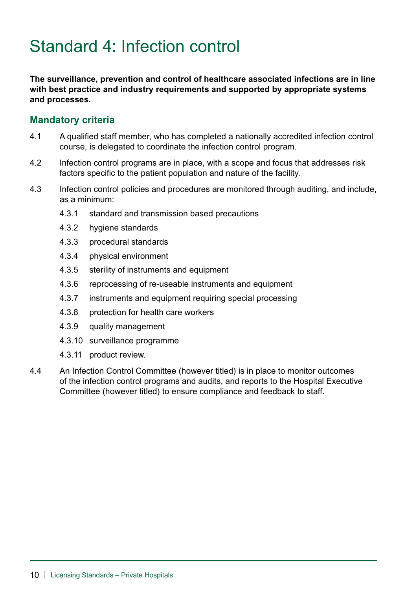# Standard 4: Infection control

**The surveillance, prevention and control of healthcare associated infections are in line with best practice and industry requirements and supported by appropriate systems and processes.**

- 4.1 A qualified staff member, who has completed a nationally accredited infection control course, is delegated to coordinate the infection control program.
- 4.2 Infection control programs are in place, with a scope and focus that addresses risk factors specific to the patient population and nature of the facility.
- 4.3 Infection control policies and procedures are monitored through auditing, and include, as a minimum:
	- 4.3.1 standard and transmission based precautions
	- 4.3.2 hygiene standards
	- 4.3.3 procedural standards
	- 4.3.4 physical environment
	- 4.3.5 sterility of instruments and equipment
	- 4.3.6 reprocessing of re-useable instruments and equipment
	- 4.3.7 instruments and equipment requiring special processing
	- 4.3.8 protection for health care workers
	- 4.3.9 quality management
	- 4.3.10 surveillance programme
	- 4.3.11 product review.
- 4.4 An Infection Control Committee (however titled) is in place to monitor outcomes of the infection control programs and audits, and reports to the Hospital Executive Committee (however titled) to ensure compliance and feedback to staff.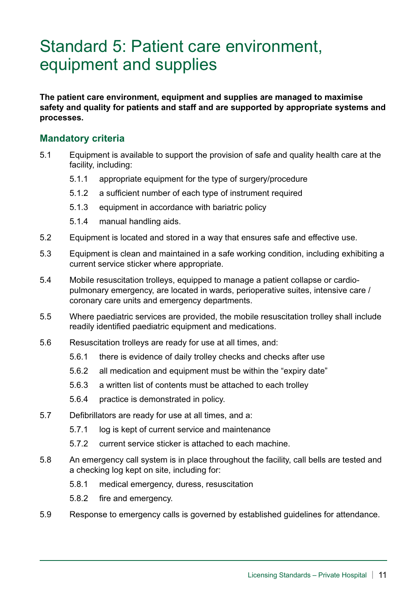### Standard 5: Patient care environment, equipment and supplies

**The patient care environment, equipment and supplies are managed to maximise safety and quality for patients and staff and are supported by appropriate systems and processes.**

- 5.1 Equipment is available to support the provision of safe and quality health care at the facility, including:
	- 5.1.1 appropriate equipment for the type of surgery/procedure
	- 5.1.2 a sufficient number of each type of instrument required
	- 5.1.3 equipment in accordance with bariatric policy
	- 5.1.4 manual handling aids.
- 5.2 Equipment is located and stored in a way that ensures safe and effective use.
- 5.3 Equipment is clean and maintained in a safe working condition, including exhibiting a current service sticker where appropriate.
- 5.4 Mobile resuscitation trolleys, equipped to manage a patient collapse or cardiopulmonary emergency, are located in wards, perioperative suites, intensive care / coronary care units and emergency departments.
- 5.5 Where paediatric services are provided, the mobile resuscitation trolley shall include readily identified paediatric equipment and medications.
- 5.6 Resuscitation trolleys are ready for use at all times, and:
	- 5.6.1 there is evidence of daily trolley checks and checks after use
	- 5.6.2 all medication and equipment must be within the "expiry date"
	- 5.6.3 a written list of contents must be attached to each trolley
	- 5.6.4 practice is demonstrated in policy.
- 5.7 Defibrillators are ready for use at all times, and a:
	- 5.7.1 log is kept of current service and maintenance
	- 5.7.2 current service sticker is attached to each machine.
- 5.8 An emergency call system is in place throughout the facility, call bells are tested and a checking log kept on site, including for:
	- 5.8.1 medical emergency, duress, resuscitation
	- 5.8.2 fire and emergency.
- 5.9 Response to emergency calls is governed by established guidelines for attendance.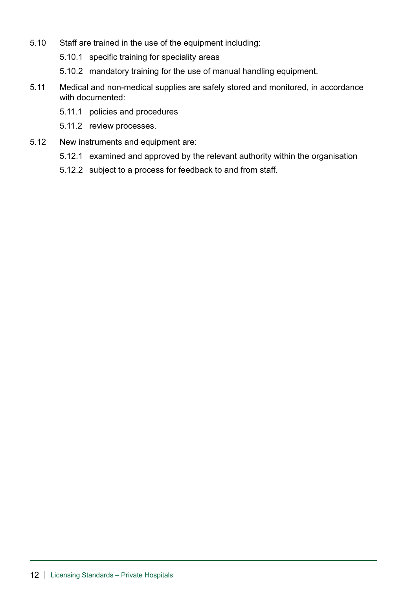- 5.10 Staff are trained in the use of the equipment including:
	- 5.10.1 specific training for speciality areas
	- 5.10.2 mandatory training for the use of manual handling equipment.
- 5.11 Medical and non-medical supplies are safely stored and monitored, in accordance with documented:
	- 5.11.1 policies and procedures
	- 5.11.2 review processes.
- 5.12 New instruments and equipment are:
	- 5.12.1 examined and approved by the relevant authority within the organisation
	- 5.12.2 subject to a process for feedback to and from staff.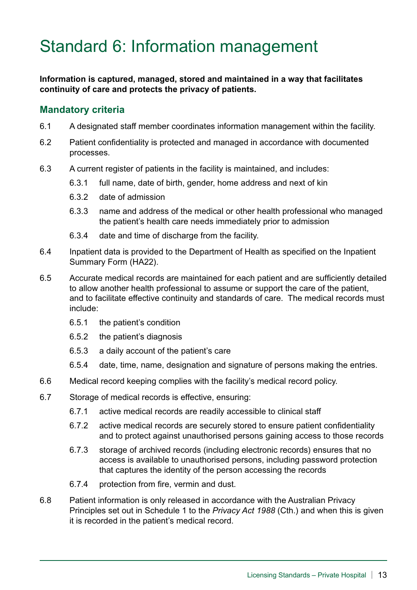# Standard 6: Information management

**Information is captured, managed, stored and maintained in a way that facilitates continuity of care and protects the privacy of patients.** 

- 6.1 A designated staff member coordinates information management within the facility.
- 6.2 Patient confidentiality is protected and managed in accordance with documented processes.
- 6.3 A current register of patients in the facility is maintained, and includes:
	- 6.3.1 full name, date of birth, gender, home address and next of kin
	- 6.3.2 date of admission
	- 6.3.3 name and address of the medical or other health professional who managed the patient's health care needs immediately prior to admission
	- 6.3.4 date and time of discharge from the facility.
- 6.4 Inpatient data is provided to the Department of Health as specified on the Inpatient Summary Form (HA22).
- 6.5 Accurate medical records are maintained for each patient and are sufficiently detailed to allow another health professional to assume or support the care of the patient, and to facilitate effective continuity and standards of care. The medical records must include:
	- 6.5.1 the patient's condition
	- 6.5.2 the patient's diagnosis
	- 6.5.3 a daily account of the patient's care
	- 6.5.4 date, time, name, designation and signature of persons making the entries.
- 6.6 Medical record keeping complies with the facility's medical record policy.
- 6.7 Storage of medical records is effective, ensuring:
	- 6.7.1 active medical records are readily accessible to clinical staff
	- 6.7.2 active medical records are securely stored to ensure patient confidentiality and to protect against unauthorised persons gaining access to those records
	- 6.7.3 storage of archived records (including electronic records) ensures that no access is available to unauthorised persons, including password protection that captures the identity of the person accessing the records
	- 6.7.4 protection from fire, vermin and dust.
- 6.8 Patient information is only released in accordance with the Australian Privacy Principles set out in Schedule 1 to the *Privacy Act 1988* (Cth.) and when this is given it is recorded in the patient's medical record.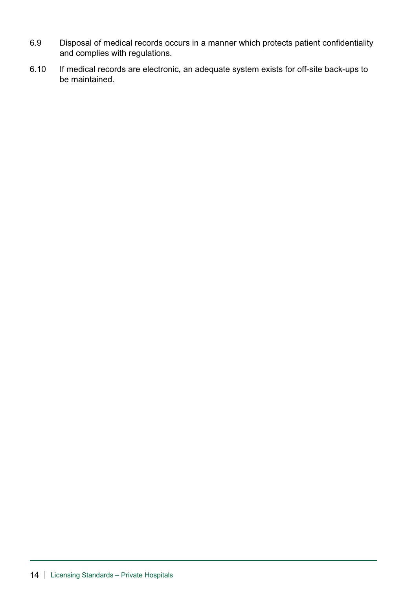- 6.9 Disposal of medical records occurs in a manner which protects patient confidentiality and complies with regulations.
- 6.10 If medical records are electronic, an adequate system exists for off-site back-ups to be maintained.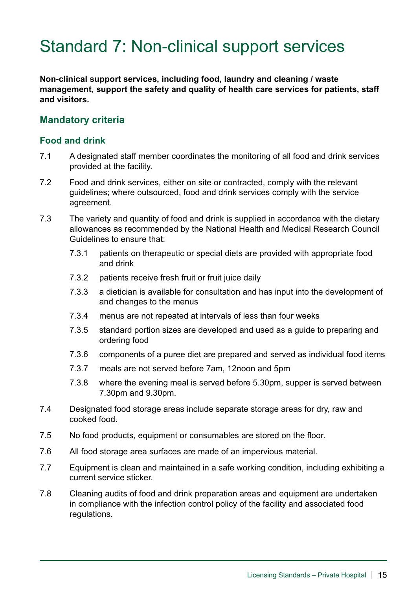### Standard 7: Non-clinical support services

**Non-clinical support services, including food, laundry and cleaning / waste management, support the safety and quality of health care services for patients, staff and visitors.**

### **Mandatory criteria**

#### **Food and drink**

- 7.1 A designated staff member coordinates the monitoring of all food and drink services provided at the facility.
- 7.2 Food and drink services, either on site or contracted, comply with the relevant guidelines; where outsourced, food and drink services comply with the service agreement.
- 7.3 The variety and quantity of food and drink is supplied in accordance with the dietary allowances as recommended by the National Health and Medical Research Council Guidelines to ensure that:
	- 7.3.1 patients on therapeutic or special diets are provided with appropriate food and drink
	- 7.3.2 patients receive fresh fruit or fruit juice daily
	- 7.3.3 a dietician is available for consultation and has input into the development of and changes to the menus
	- 7.3.4 menus are not repeated at intervals of less than four weeks
	- 7.3.5 standard portion sizes are developed and used as a guide to preparing and ordering food
	- 7.3.6 components of a puree diet are prepared and served as individual food items
	- 7.3.7 meals are not served before 7am, 12noon and 5pm
	- 7.3.8 where the evening meal is served before 5.30pm, supper is served between 7.30pm and 9.30pm.
- 7.4 Designated food storage areas include separate storage areas for dry, raw and cooked food.
- 7.5 No food products, equipment or consumables are stored on the floor.
- 7.6 All food storage area surfaces are made of an impervious material.
- 7.7 Equipment is clean and maintained in a safe working condition, including exhibiting a current service sticker.
- 7.8 Cleaning audits of food and drink preparation areas and equipment are undertaken in compliance with the infection control policy of the facility and associated food regulations.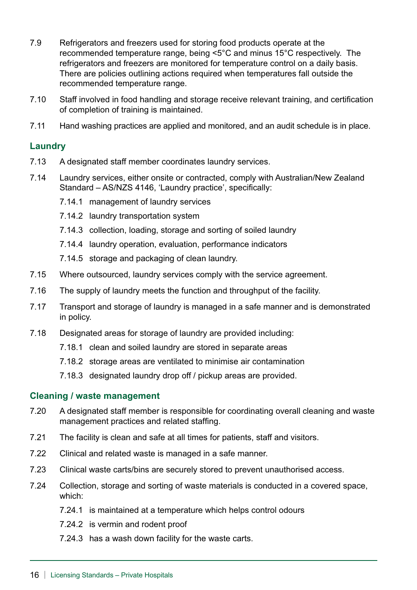- 7.9 Refrigerators and freezers used for storing food products operate at the recommended temperature range, being <5°C and minus 15°C respectively. The refrigerators and freezers are monitored for temperature control on a daily basis. There are policies outlining actions required when temperatures fall outside the recommended temperature range.
- 7.10 Staff involved in food handling and storage receive relevant training, and certification of completion of training is maintained.
- 7.11 Hand washing practices are applied and monitored, and an audit schedule is in place.

#### **Laundry**

- 7.13 A designated staff member coordinates laundry services.
- 7.14 Laundry services, either onsite or contracted, comply with Australian/New Zealand Standard – AS/NZS 4146, 'Laundry practice', specifically:
	- 7.14.1 management of laundry services
	- 7.14.2 laundry transportation system
	- 7.14.3 collection, loading, storage and sorting of soiled laundry
	- 7.14.4 laundry operation, evaluation, performance indicators
	- 7.14.5 storage and packaging of clean laundry.
- 7.15 Where outsourced, laundry services comply with the service agreement.
- 7.16 The supply of laundry meets the function and throughput of the facility.
- 7.17 Transport and storage of laundry is managed in a safe manner and is demonstrated in policy.
- 7.18 Designated areas for storage of laundry are provided including:
	- 7.18.1 clean and soiled laundry are stored in separate areas
	- 7.18.2 storage areas are ventilated to minimise air contamination
	- 7.18.3 designated laundry drop off / pickup areas are provided.

#### **Cleaning / waste management**

- 7.20 A designated staff member is responsible for coordinating overall cleaning and waste management practices and related staffing.
- 7.21 The facility is clean and safe at all times for patients, staff and visitors.
- 7.22 Clinical and related waste is managed in a safe manner.
- 7.23 Clinical waste carts/bins are securely stored to prevent unauthorised access.
- 7.24 Collection, storage and sorting of waste materials is conducted in a covered space, which:
	- 7.24.1 is maintained at a temperature which helps control odours
	- 7.24.2 is vermin and rodent proof
	- 7.24.3 has a wash down facility for the waste carts.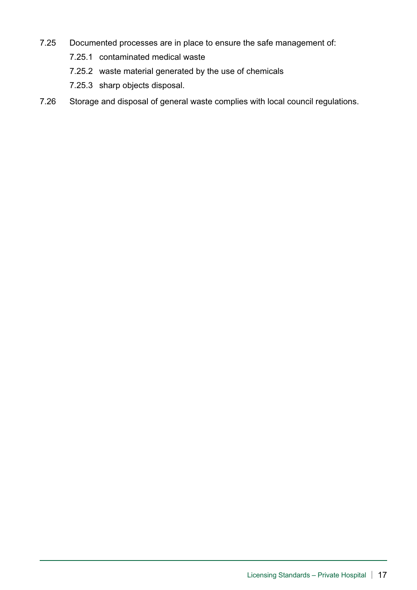- 7.25 Documented processes are in place to ensure the safe management of:
	- 7.25.1 contaminated medical waste
	- 7.25.2 waste material generated by the use of chemicals
	- 7.25.3 sharp objects disposal.
- 7.26 Storage and disposal of general waste complies with local council regulations.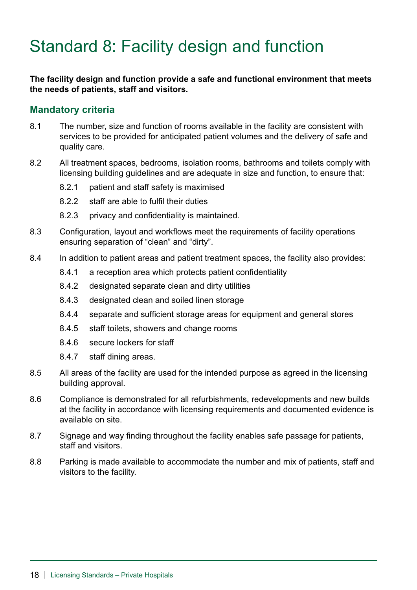# Standard 8: Facility design and function

**The facility design and function provide a safe and functional environment that meets the needs of patients, staff and visitors.**

- 8.1 The number, size and function of rooms available in the facility are consistent with services to be provided for anticipated patient volumes and the delivery of safe and quality care.
- 8.2 All treatment spaces, bedrooms, isolation rooms, bathrooms and toilets comply with licensing building guidelines and are adequate in size and function, to ensure that:
	- 8.2.1 patient and staff safety is maximised
	- 8.2.2 staff are able to fulfil their duties
	- 8.2.3 privacy and confidentiality is maintained.
- 8.3 Configuration, layout and workflows meet the requirements of facility operations ensuring separation of "clean" and "dirty".
- 8.4 In addition to patient areas and patient treatment spaces, the facility also provides:
	- 8.4.1 a reception area which protects patient confidentiality
	- 8.4.2 designated separate clean and dirty utilities
	- 8.4.3 designated clean and soiled linen storage
	- 8.4.4 separate and sufficient storage areas for equipment and general stores
	- 8.4.5 staff toilets, showers and change rooms
	- 8.4.6 secure lockers for staff
	- 8.4.7 staff dining areas.
- 8.5 All areas of the facility are used for the intended purpose as agreed in the licensing building approval.
- 8.6 Compliance is demonstrated for all refurbishments, redevelopments and new builds at the facility in accordance with licensing requirements and documented evidence is available on site.
- 8.7 Signage and way finding throughout the facility enables safe passage for patients, staff and visitors.
- 8.8 Parking is made available to accommodate the number and mix of patients, staff and visitors to the facility.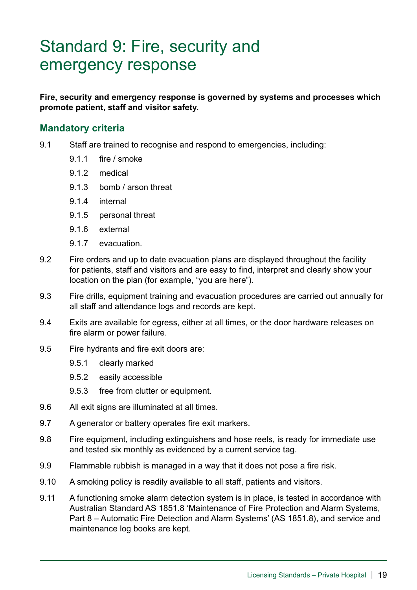### Standard 9: Fire, security and emergency response

**Fire, security and emergency response is governed by systems and processes which promote patient, staff and visitor safety.**

- 9.1 Staff are trained to recognise and respond to emergencies, including:
	- 9.1.1 fire / smoke
	- 9.1.2 medical
	- 9.1.3 bomb / arson threat
	- 9.1.4 internal
	- 9.1.5 personal threat
	- 9.1.6 external
	- 9.1.7 evacuation.
- 9.2 Fire orders and up to date evacuation plans are displayed throughout the facility for patients, staff and visitors and are easy to find, interpret and clearly show your location on the plan (for example, "you are here").
- 9.3 Fire drills, equipment training and evacuation procedures are carried out annually for all staff and attendance logs and records are kept.
- 9.4 Exits are available for egress, either at all times, or the door hardware releases on fire alarm or power failure.
- 9.5 Fire hydrants and fire exit doors are:
	- 9.5.1 clearly marked
	- 9.5.2 easily accessible
	- 9.5.3 free from clutter or equipment.
- 9.6 All exit signs are illuminated at all times.
- 9.7 A generator or battery operates fire exit markers.
- 9.8 Fire equipment, including extinguishers and hose reels, is ready for immediate use and tested six monthly as evidenced by a current service tag.
- 9.9 Flammable rubbish is managed in a way that it does not pose a fire risk.
- 9.10 A smoking policy is readily available to all staff, patients and visitors.
- 9.11 A functioning smoke alarm detection system is in place, is tested in accordance with Australian Standard AS 1851.8 'Maintenance of Fire Protection and Alarm Systems, Part 8 – Automatic Fire Detection and Alarm Systems' (AS 1851.8), and service and maintenance log books are kept.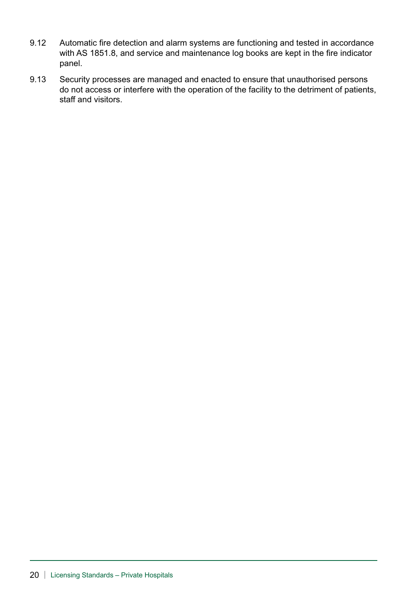- 9.12 Automatic fire detection and alarm systems are functioning and tested in accordance with AS 1851.8, and service and maintenance log books are kept in the fire indicator panel.
- 9.13 Security processes are managed and enacted to ensure that unauthorised persons do not access or interfere with the operation of the facility to the detriment of patients, staff and visitors.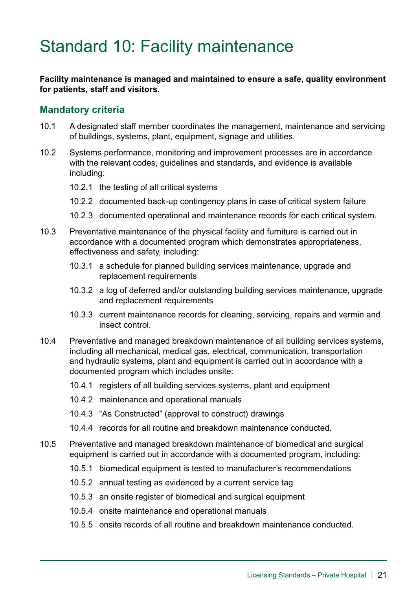# Standard 10: Facility maintenance

**Facility maintenance is managed and maintained to ensure a safe, quality environment for patients, staff and visitors.** 

- 10.1 A designated staff member coordinates the management, maintenance and servicing of buildings, systems, plant, equipment, signage and utilities.
- 10.2 Systems performance, monitoring and improvement processes are in accordance with the relevant codes, guidelines and standards, and evidence is available including:
	- 10.2.1 the testing of all critical systems
	- 10.2.2 documented back-up contingency plans in case of critical system failure
	- 10.2.3 documented operational and maintenance records for each critical system.
- 10.3 Preventative maintenance of the physical facility and furniture is carried out in accordance with a documented program which demonstrates appropriateness, effectiveness and safety, including:
	- 10.3.1 a schedule for planned building services maintenance, upgrade and replacement requirements
	- 10.3.2 a log of deferred and/or outstanding building services maintenance, upgrade and replacement requirements
	- 10.3.3 current maintenance records for cleaning, servicing, repairs and vermin and insect control.
- 10.4 Preventative and managed breakdown maintenance of all building services systems, including all mechanical, medical gas, electrical, communication, transportation and hydraulic systems, plant and equipment is carried out in accordance with a documented program which includes onsite:
	- 10.4.1 registers of all building services systems, plant and equipment
	- 10.4.2 maintenance and operational manuals
	- 10.4.3 "As Constructed" (approval to construct) drawings
	- 10.4.4 records for all routine and breakdown maintenance conducted.
- 10.5 Preventative and managed breakdown maintenance of biomedical and surgical equipment is carried out in accordance with a documented program, including:
	- 10.5.1 biomedical equipment is tested to manufacturer's recommendations
	- 10.5.2 annual testing as evidenced by a current service tag
	- 10.5.3 an onsite register of biomedical and surgical equipment
	- 10.5.4 onsite maintenance and operational manuals
	- 10.5.5 onsite records of all routine and breakdown maintenance conducted.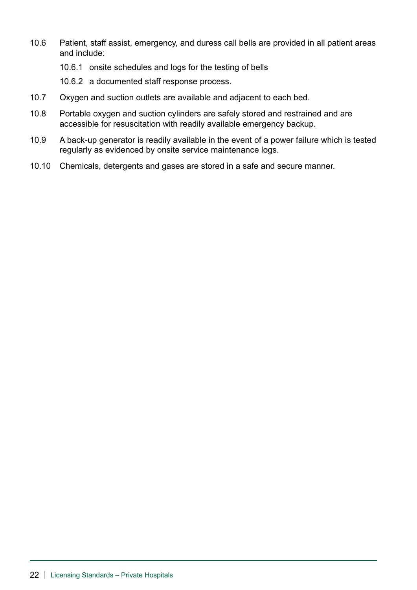- 10.6 Patient, staff assist, emergency, and duress call bells are provided in all patient areas and include:
	- 10.6.1 onsite schedules and logs for the testing of bells
	- 10.6.2 a documented staff response process.
- 10.7 Oxygen and suction outlets are available and adjacent to each bed.
- 10.8 Portable oxygen and suction cylinders are safely stored and restrained and are accessible for resuscitation with readily available emergency backup.
- 10.9 A back-up generator is readily available in the event of a power failure which is tested regularly as evidenced by onsite service maintenance logs.
- 10.10 Chemicals, detergents and gases are stored in a safe and secure manner.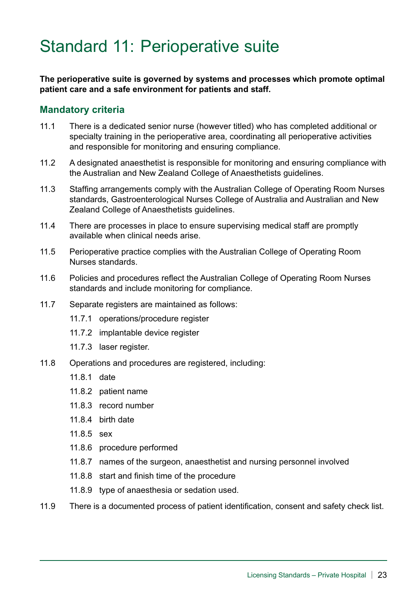### Standard 11: Perioperative suite

**The perioperative suite is governed by systems and processes which promote optimal patient care and a safe environment for patients and staff.**

- 11.1 There is a dedicated senior nurse (however titled) who has completed additional or specialty training in the perioperative area, coordinating all perioperative activities and responsible for monitoring and ensuring compliance.
- 11.2 A designated anaesthetist is responsible for monitoring and ensuring compliance with the Australian and New Zealand College of Anaesthetists guidelines.
- 11.3 Staffing arrangements comply with the Australian College of Operating Room Nurses standards, Gastroenterological Nurses College of Australia and Australian and New Zealand College of Anaesthetists guidelines.
- 11.4 There are processes in place to ensure supervising medical staff are promptly available when clinical needs arise.
- 11.5 Perioperative practice complies with the Australian College of Operating Room Nurses standards.
- 11.6 Policies and procedures reflect the Australian College of Operating Room Nurses standards and include monitoring for compliance.
- 11.7 Separate registers are maintained as follows:
	- 11.7.1 operations/procedure register
	- 11.7.2 implantable device register
	- 11.7.3 laser register.
- 11.8 Operations and procedures are registered, including:
	- 11.8.1 date
	- 11.8.2 patient name
	- 11.8.3 record number
	- 11.8.4 birth date
	- 11.8.5 sex
	- 11.8.6 procedure performed
	- 11.8.7 names of the surgeon, anaesthetist and nursing personnel involved
	- 11.8.8 start and finish time of the procedure
	- 11.8.9 type of anaesthesia or sedation used.
- 11.9 There is a documented process of patient identification, consent and safety check list.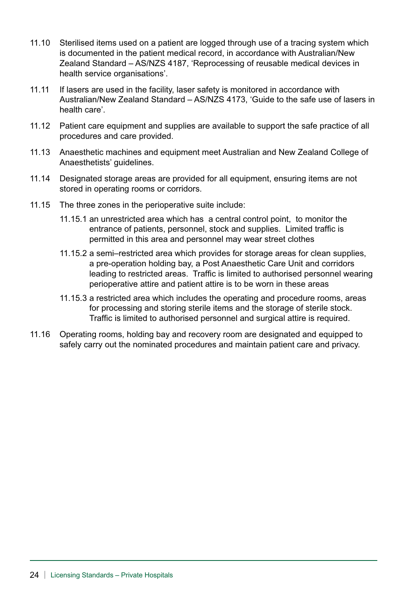- 11.10 Sterilised items used on a patient are logged through use of a tracing system which is documented in the patient medical record, in accordance with Australian/New Zealand Standard – AS/NZS 4187, 'Reprocessing of reusable medical devices in health service organisations'.
- 11.11 If lasers are used in the facility, laser safety is monitored in accordance with Australian/New Zealand Standard – AS/NZS 4173, 'Guide to the safe use of lasers in health care'.
- 11.12 Patient care equipment and supplies are available to support the safe practice of all procedures and care provided.
- 11.13 Anaesthetic machines and equipment meet Australian and New Zealand College of Anaesthetists' guidelines.
- 11.14 Designated storage areas are provided for all equipment, ensuring items are not stored in operating rooms or corridors.
- 11.15 The three zones in the perioperative suite include:
	- 11.15.1 an unrestricted area which has a central control point, to monitor the entrance of patients, personnel, stock and supplies. Limited traffic is permitted in this area and personnel may wear street clothes
	- 11.15.2 a semi–restricted area which provides for storage areas for clean supplies, a pre-operation holding bay, a Post Anaesthetic Care Unit and corridors leading to restricted areas. Traffic is limited to authorised personnel wearing perioperative attire and patient attire is to be worn in these areas
	- 11.15.3 a restricted area which includes the operating and procedure rooms, areas for processing and storing sterile items and the storage of sterile stock. Traffic is limited to authorised personnel and surgical attire is required.
- 11.16 Operating rooms, holding bay and recovery room are designated and equipped to safely carry out the nominated procedures and maintain patient care and privacy.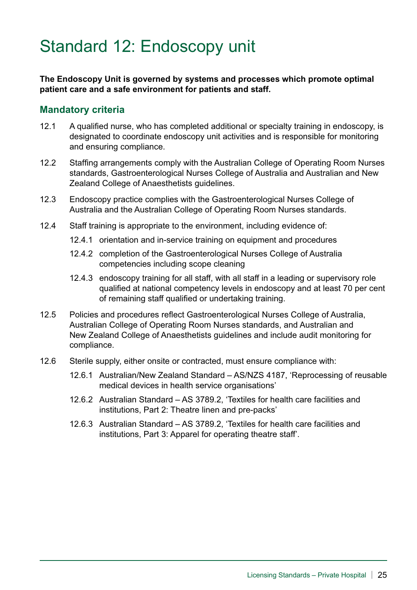# Standard 12: Endoscopy unit

**The Endoscopy Unit is governed by systems and processes which promote optimal patient care and a safe environment for patients and staff.**

- 12.1 A qualified nurse, who has completed additional or specialty training in endoscopy, is designated to coordinate endoscopy unit activities and is responsible for monitoring and ensuring compliance.
- 12.2 Staffing arrangements comply with the Australian College of Operating Room Nurses standards, Gastroenterological Nurses College of Australia and Australian and New Zealand College of Anaesthetists guidelines.
- 12.3 Endoscopy practice complies with the Gastroenterological Nurses College of Australia and the Australian College of Operating Room Nurses standards.
- 12.4 Staff training is appropriate to the environment, including evidence of:
	- 12.4.1 orientation and in-service training on equipment and procedures
	- 12.4.2 completion of the Gastroenterological Nurses College of Australia competencies including scope cleaning
	- 12.4.3 endoscopy training for all staff, with all staff in a leading or supervisory role qualified at national competency levels in endoscopy and at least 70 per cent of remaining staff qualified or undertaking training.
- 12.5 Policies and procedures reflect Gastroenterological Nurses College of Australia, Australian College of Operating Room Nurses standards, and Australian and New Zealand College of Anaesthetists guidelines and include audit monitoring for compliance.
- 12.6 Sterile supply, either onsite or contracted, must ensure compliance with:
	- 12.6.1 Australian/New Zealand Standard AS/NZS 4187, 'Reprocessing of reusable medical devices in health service organisations'
	- 12.6.2 Australian Standard AS 3789.2, 'Textiles for health care facilities and institutions, Part 2: Theatre linen and pre-packs'
	- 12.6.3 Australian Standard AS 3789.2, 'Textiles for health care facilities and institutions, Part 3: Apparel for operating theatre staff'.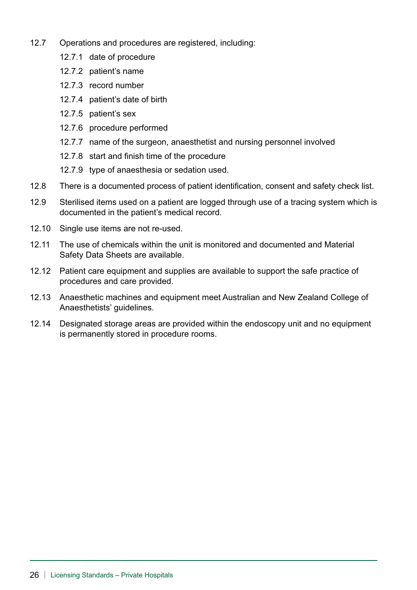- 12.7 Operations and procedures are registered, including:
	- 12.7.1 date of procedure
	- 12.7.2 patient's name
	- 12.7.3 record number
	- 12.7.4 patient's date of birth
	- 12.7.5 patient's sex
	- 12.7.6 procedure performed
	- 12.7.7 name of the surgeon, anaesthetist and nursing personnel involved
	- 12.7.8 start and finish time of the procedure
	- 12.7.9 type of anaesthesia or sedation used.
- 12.8 There is a documented process of patient identification, consent and safety check list.
- 12.9 Sterilised items used on a patient are logged through use of a tracing system which is documented in the patient's medical record.
- 12.10 Single use items are not re-used.
- 12.11 The use of chemicals within the unit is monitored and documented and Material Safety Data Sheets are available.
- 12.12 Patient care equipment and supplies are available to support the safe practice of procedures and care provided.
- 12.13 Anaesthetic machines and equipment meet Australian and New Zealand College of Anaesthetists' guidelines.
- 12.14 Designated storage areas are provided within the endoscopy unit and no equipment is permanently stored in procedure rooms.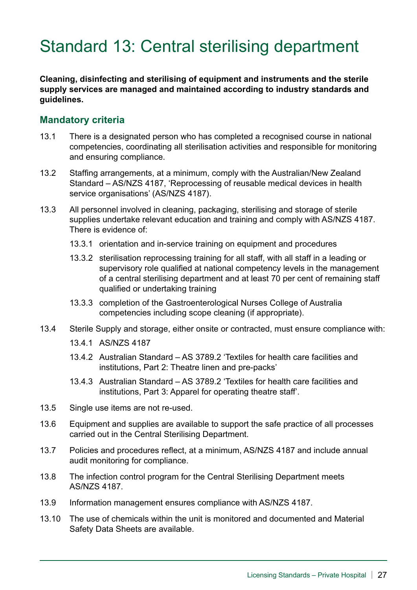# Standard 13: Central sterilising department

**Cleaning, disinfecting and sterilising of equipment and instruments and the sterile supply services are managed and maintained according to industry standards and guidelines.**

- 13.1 There is a designated person who has completed a recognised course in national competencies, coordinating all sterilisation activities and responsible for monitoring and ensuring compliance.
- 13.2 Staffing arrangements, at a minimum, comply with the Australian/New Zealand Standard – AS/NZS 4187, 'Reprocessing of reusable medical devices in health service organisations' (AS/NZS 4187).
- 13.3 All personnel involved in cleaning, packaging, sterilising and storage of sterile supplies undertake relevant education and training and comply with AS/NZS 4187. There is evidence of:
	- 13.3.1 orientation and in-service training on equipment and procedures
	- 13.3.2 sterilisation reprocessing training for all staff, with all staff in a leading or supervisory role qualified at national competency levels in the management of a central sterilising department and at least 70 per cent of remaining staff qualified or undertaking training
	- 13.3.3 completion of the Gastroenterological Nurses College of Australia competencies including scope cleaning (if appropriate).
- 13.4 Sterile Supply and storage, either onsite or contracted, must ensure compliance with:
	- 13.4.1 AS/NZS 4187
	- 13.4.2 Australian Standard AS 3789.2 'Textiles for health care facilities and institutions, Part 2: Theatre linen and pre-packs'
	- 13.4.3 Australian Standard AS 3789.2 'Textiles for health care facilities and institutions, Part 3: Apparel for operating theatre staff'.
- 13.5 Single use items are not re-used.
- 13.6 Equipment and supplies are available to support the safe practice of all processes carried out in the Central Sterilising Department.
- 13.7 Policies and procedures reflect, at a minimum, AS/NZS 4187 and include annual audit monitoring for compliance.
- 13.8 The infection control program for the Central Sterilising Department meets AS/NZS 4187.
- 13.9 Information management ensures compliance with AS/NZS 4187.
- 13.10 The use of chemicals within the unit is monitored and documented and Material Safety Data Sheets are available.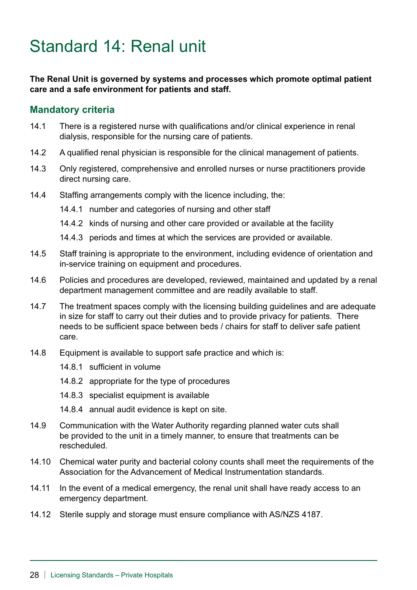# Standard 14: Renal unit

#### **The Renal Unit is governed by systems and processes which promote optimal patient care and a safe environment for patients and staff.**

- 14.1 There is a registered nurse with qualifications and/or clinical experience in renal dialysis, responsible for the nursing care of patients.
- 14.2 A qualified renal physician is responsible for the clinical management of patients.
- 14.3 Only registered, comprehensive and enrolled nurses or nurse practitioners provide direct nursing care.
- 14.4 Staffing arrangements comply with the licence including, the:
	- 14.4.1 number and categories of nursing and other staff
	- 14.4.2 kinds of nursing and other care provided or available at the facility
	- 14.4.3 periods and times at which the services are provided or available.
- 14.5 Staff training is appropriate to the environment, including evidence of orientation and in-service training on equipment and procedures.
- 14.6 Policies and procedures are developed, reviewed, maintained and updated by a renal department management committee and are readily available to staff.
- 14.7 The treatment spaces comply with the licensing building guidelines and are adequate in size for staff to carry out their duties and to provide privacy for patients. There needs to be sufficient space between beds / chairs for staff to deliver safe patient care.
- 14.8 Equipment is available to support safe practice and which is:
	- 14.8.1 sufficient in volume
	- 14.8.2 appropriate for the type of procedures
	- 14.8.3 specialist equipment is available
	- 14.8.4 annual audit evidence is kept on site.
- 14.9 Communication with the Water Authority regarding planned water cuts shall be provided to the unit in a timely manner, to ensure that treatments can be rescheduled.
- 14.10 Chemical water purity and bacterial colony counts shall meet the requirements of the Association for the Advancement of Medical Instrumentation standards.
- 14.11 In the event of a medical emergency, the renal unit shall have ready access to an emergency department.
- 14.12 Sterile supply and storage must ensure compliance with AS/NZS 4187.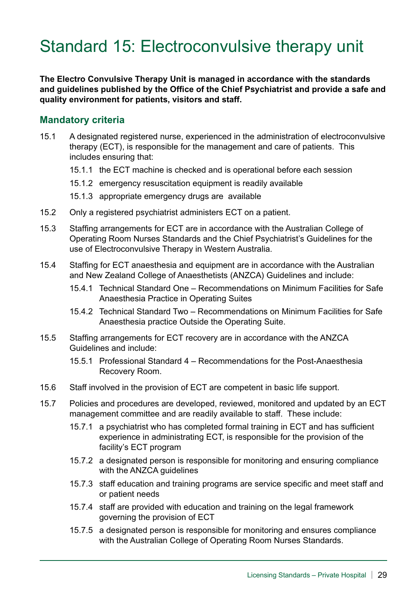# Standard 15: Electroconvulsive therapy unit

**The Electro Convulsive Therapy Unit is managed in accordance with the standards and guidelines published by the Office of the Chief Psychiatrist and provide a safe and quality environment for patients, visitors and staff.**

- 15.1 A designated registered nurse, experienced in the administration of electroconvulsive therapy (ECT), is responsible for the management and care of patients. This includes ensuring that:
	- 15.1.1 the ECT machine is checked and is operational before each session
	- 15.1.2 emergency resuscitation equipment is readily available
	- 15.1.3 appropriate emergency drugs are available
- 15.2 Only a registered psychiatrist administers ECT on a patient.
- 15.3 Staffing arrangements for ECT are in accordance with the Australian College of Operating Room Nurses Standards and the Chief Psychiatrist's Guidelines for the use of Electroconvulsive Therapy in Western Australia.
- 15.4 Staffing for ECT anaesthesia and equipment are in accordance with the Australian and New Zealand College of Anaesthetists (ANZCA) Guidelines and include:
	- 15.4.1 Technical Standard One Recommendations on Minimum Facilities for Safe Anaesthesia Practice in Operating Suites
	- 15.4.2 Technical Standard Two Recommendations on Minimum Facilities for Safe Anaesthesia practice Outside the Operating Suite.
- 15.5 Staffing arrangements for ECT recovery are in accordance with the ANZCA Guidelines and include:
	- 15.5.1 Professional Standard 4 Recommendations for the Post-Anaesthesia Recovery Room.
- 15.6 Staff involved in the provision of ECT are competent in basic life support.
- 15.7 Policies and procedures are developed, reviewed, monitored and updated by an ECT management committee and are readily available to staff. These include:
	- 15.7.1 a psychiatrist who has completed formal training in ECT and has sufficient experience in administrating ECT, is responsible for the provision of the facility's ECT program
	- 15.7.2 a designated person is responsible for monitoring and ensuring compliance with the ANZCA guidelines
	- 15.7.3 staff education and training programs are service specific and meet staff and or patient needs
	- 15.7.4 staff are provided with education and training on the legal framework governing the provision of ECT
	- 15.7.5 a designated person is responsible for monitoring and ensures compliance with the Australian College of Operating Room Nurses Standards.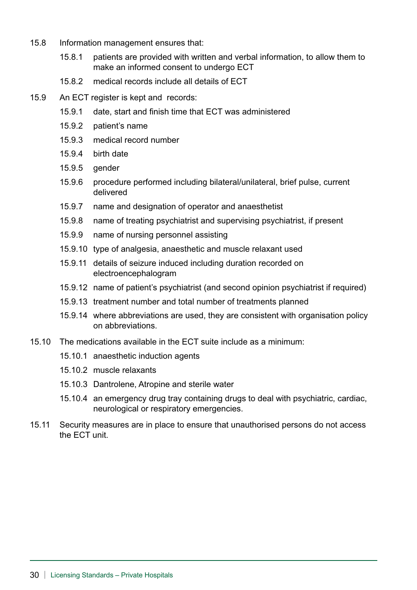- 15.8 Information management ensures that:
	- 15.8.1 patients are provided with written and verbal information, to allow them to make an informed consent to undergo ECT
	- 15.8.2 medical records include all details of ECT
- 15.9 An ECT register is kept and records:
	- 15.9.1 date, start and finish time that ECT was administered
	- 15.9.2 patient's name
	- 15.9.3 medical record number
	- 15.9.4 birth date
	- 15.9.5 gender
	- 15.9.6 procedure performed including bilateral/unilateral, brief pulse, current delivered
	- 15.9.7 name and designation of operator and anaesthetist
	- 15.9.8 name of treating psychiatrist and supervising psychiatrist, if present
	- 15.9.9 name of nursing personnel assisting
	- 15.9.10 type of analgesia, anaesthetic and muscle relaxant used
	- 15.9.11 details of seizure induced including duration recorded on electroencephalogram
	- 15.9.12 name of patient's psychiatrist (and second opinion psychiatrist if required)
	- 15.9.13 treatment number and total number of treatments planned
	- 15.9.14 where abbreviations are used, they are consistent with organisation policy on abbreviations.
- 15.10 The medications available in the ECT suite include as a minimum:
	- 15.10.1 anaesthetic induction agents
	- 15.10.2 muscle relaxants
	- 15.10.3 Dantrolene, Atropine and sterile water
	- 15.10.4 an emergency drug tray containing drugs to deal with psychiatric, cardiac, neurological or respiratory emergencies.
- 15.11 Security measures are in place to ensure that unauthorised persons do not access the ECT unit.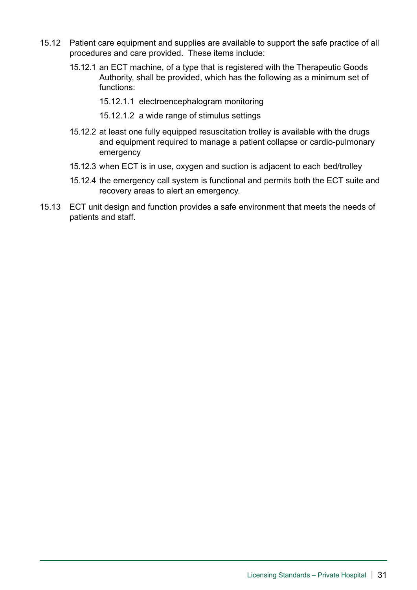- 15.12 Patient care equipment and supplies are available to support the safe practice of all procedures and care provided. These items include:
	- 15.12.1 an ECT machine, of a type that is registered with the Therapeutic Goods Authority, shall be provided, which has the following as a minimum set of functions:
		- 15.12.1.1 electroencephalogram monitoring
		- 15.12.1.2 a wide range of stimulus settings
	- 15.12.2 at least one fully equipped resuscitation trolley is available with the drugs and equipment required to manage a patient collapse or cardio-pulmonary emergency
	- 15.12.3 when ECT is in use, oxygen and suction is adjacent to each bed/trolley
	- 15.12.4 the emergency call system is functional and permits both the ECT suite and recovery areas to alert an emergency.
- 15.13 ECT unit design and function provides a safe environment that meets the needs of patients and staff.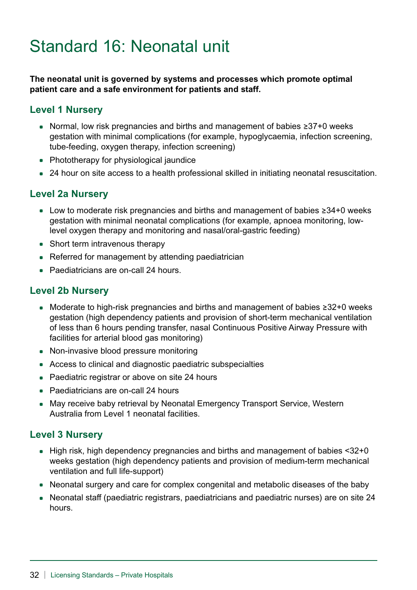# Standard 16: Neonatal unit

**The neonatal unit is governed by systems and processes which promote optimal patient care and a safe environment for patients and staff.**

### **Level 1 Nursery**

- \* Normal, low risk pregnancies and births and management of babies ≥37+0 weeks gestation with minimal complications (for example, hypoglycaemia, infection screening, tube-feeding, oxygen therapy, infection screening)
- Phototherapy for physiological jaundice
- 24 hour on site access to a health professional skilled in initiating neonatal resuscitation.

### **Level 2a Nursery**

- Low to moderate risk pregnancies and births and management of babies ≥34+0 weeks gestation with minimal neonatal complications (for example, apnoea monitoring, lowlevel oxygen therapy and monitoring and nasal/oral-gastric feeding)
- Short term intravenous therapy
- Referred for management by attending paediatrician
- Paediatricians are on-call 24 hours.

### **Level 2b Nursery**

- Moderate to high-risk pregnancies and births and management of babies ≥32+0 weeks gestation (high dependency patients and provision of short-term mechanical ventilation of less than 6 hours pending transfer, nasal Continuous Positive Airway Pressure with facilities for arterial blood gas monitoring)
- Non-invasive blood pressure monitoring
- Access to clinical and diagnostic paediatric subspecialties
- Paediatric registrar or above on site 24 hours
- Paediatricians are on-call 24 hours
- May receive baby retrieval by Neonatal Emergency Transport Service, Western Australia from Level 1 neonatal facilities.

#### **Level 3 Nursery**

- High risk, high dependency pregnancies and births and management of babies <32+0 weeks gestation (high dependency patients and provision of medium-term mechanical ventilation and full life-support)
- Neonatal surgery and care for complex congenital and metabolic diseases of the baby
- Neonatal staff (paediatric registrars, paediatricians and paediatric nurses) are on site 24 hours.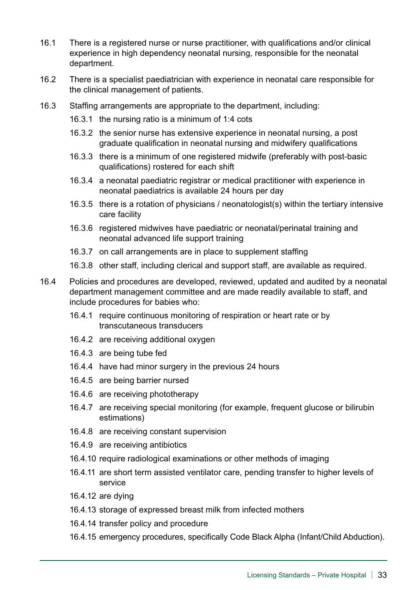- 16.1 There is a registered nurse or nurse practitioner, with qualifications and/or clinical experience in high dependency neonatal nursing, responsible for the neonatal department.
- 16.2 There is a specialist paediatrician with experience in neonatal care responsible for the clinical management of patients.
- 16.3 Staffing arrangements are appropriate to the department, including:
	- 16.3.1 the nursing ratio is a minimum of 1:4 cots
	- 16.3.2 the senior nurse has extensive experience in neonatal nursing, a post graduate qualification in neonatal nursing and midwifery qualifications
	- 16.3.3 there is a minimum of one registered midwife (preferably with post-basic qualifications) rostered for each shift
	- 16.3.4 a neonatal paediatric registrar or medical practitioner with experience in neonatal paediatrics is available 24 hours per day
	- 16.3.5 there is a rotation of physicians / neonatologist(s) within the tertiary intensive care facility
	- 16.3.6 registered midwives have paediatric or neonatal/perinatal training and neonatal advanced life support training
	- 16.3.7 on call arrangements are in place to supplement staffing
	- 16.3.8 other staff, including clerical and support staff, are available as required.
- 16.4 Policies and procedures are developed, reviewed, updated and audited by a neonatal department management committee and are made readily available to staff, and include procedures for babies who:
	- 16.4.1 require continuous monitoring of respiration or heart rate or by transcutaneous transducers
	- 16.4.2 are receiving additional oxygen
	- 16.4.3 are being tube fed
	- 16.4.4 have had minor surgery in the previous 24 hours
	- 16.4.5 are being barrier nursed
	- 16.4.6 are receiving phototherapy
	- 16.4.7 are receiving special monitoring (for example, frequent glucose or bilirubin estimations)
	- 16.4.8 are receiving constant supervision
	- 16.4.9 are receiving antibiotics
	- 16.4.10 require radiological examinations or other methods of imaging
	- 16.4.11 are short term assisted ventilator care, pending transfer to higher levels of service
	- 16.4.12 are dying
	- 16.4.13 storage of expressed breast milk from infected mothers
	- 16.4.14 transfer policy and procedure
	- 16.4.15 emergency procedures, specifically Code Black Alpha (Infant/Child Abduction).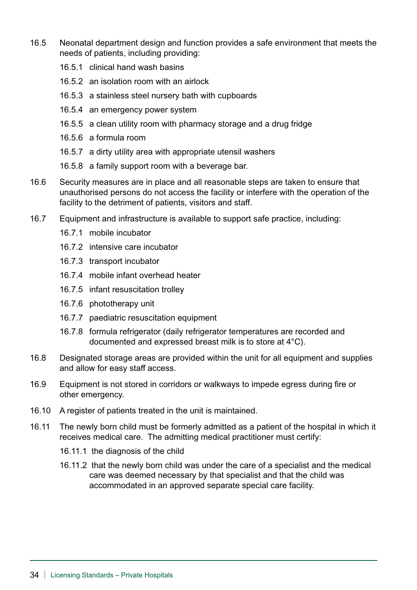- 16.5 Neonatal department design and function provides a safe environment that meets the needs of patients, including providing:
	- 16.5.1 clinical hand wash basins
	- 16.5.2 an isolation room with an airlock
	- 16.5.3 a stainless steel nursery bath with cupboards
	- 16.5.4 an emergency power system
	- 16.5.5 a clean utility room with pharmacy storage and a drug fridge
	- 16.5.6 a formula room
	- 16.5.7 a dirty utility area with appropriate utensil washers
	- 16.5.8 a family support room with a beverage bar.
- 16.6 Security measures are in place and all reasonable steps are taken to ensure that unauthorised persons do not access the facility or interfere with the operation of the facility to the detriment of patients, visitors and staff.
- 16.7 Equipment and infrastructure is available to support safe practice, including:
	- 16.7.1 mobile incubator
	- 16.7.2 intensive care incubator
	- 16.7.3 transport incubator
	- 16.7.4 mobile infant overhead heater
	- 16.7.5 infant resuscitation trolley
	- 16.7.6 phototherapy unit
	- 16.7.7 paediatric resuscitation equipment
	- 16.7.8 formula refrigerator (daily refrigerator temperatures are recorded and documented and expressed breast milk is to store at 4°C).
- 16.8 Designated storage areas are provided within the unit for all equipment and supplies and allow for easy staff access.
- 16.9 Equipment is not stored in corridors or walkways to impede egress during fire or other emergency.
- 16.10 A register of patients treated in the unit is maintained.
- 16.11 The newly born child must be formerly admitted as a patient of the hospital in which it receives medical care. The admitting medical practitioner must certify:
	- 16.11.1 the diagnosis of the child
	- 16.11.2 that the newly born child was under the care of a specialist and the medical care was deemed necessary by that specialist and that the child was accommodated in an approved separate special care facility.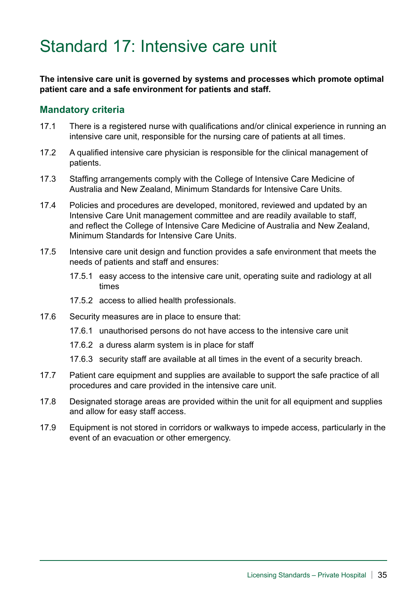### Standard 17: Intensive care unit

**The intensive care unit is governed by systems and processes which promote optimal patient care and a safe environment for patients and staff.**

- 17.1 There is a registered nurse with qualifications and/or clinical experience in running an intensive care unit, responsible for the nursing care of patients at all times.
- 17.2 A qualified intensive care physician is responsible for the clinical management of patients.
- 17.3 Staffing arrangements comply with the College of Intensive Care Medicine of Australia and New Zealand, Minimum Standards for Intensive Care Units.
- 17.4 Policies and procedures are developed, monitored, reviewed and updated by an Intensive Care Unit management committee and are readily available to staff, and reflect the College of Intensive Care Medicine of Australia and New Zealand, Minimum Standards for Intensive Care Units.
- 17.5 Intensive care unit design and function provides a safe environment that meets the needs of patients and staff and ensures:
	- 17.5.1 easy access to the intensive care unit, operating suite and radiology at all times
	- 17.5.2 access to allied health professionals.
- 17.6 Security measures are in place to ensure that:
	- 17.6.1 unauthorised persons do not have access to the intensive care unit
	- 17.6.2 a duress alarm system is in place for staff
	- 17.6.3 security staff are available at all times in the event of a security breach.
- 17.7 Patient care equipment and supplies are available to support the safe practice of all procedures and care provided in the intensive care unit.
- 17.8 Designated storage areas are provided within the unit for all equipment and supplies and allow for easy staff access.
- 17.9 Equipment is not stored in corridors or walkways to impede access, particularly in the event of an evacuation or other emergency.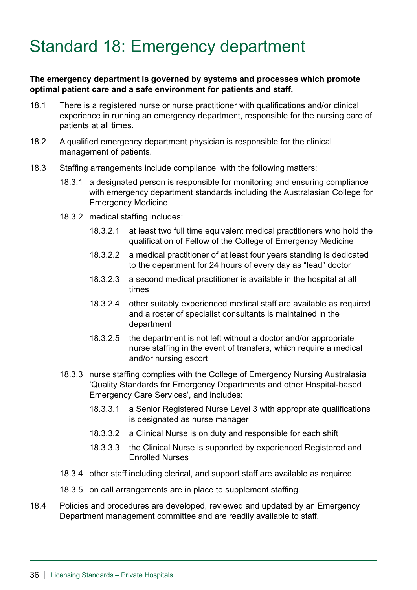# Standard 18: Emergency department

#### **The emergency department is governed by systems and processes which promote optimal patient care and a safe environment for patients and staff.**

- 18.1 There is a registered nurse or nurse practitioner with qualifications and/or clinical experience in running an emergency department, responsible for the nursing care of patients at all times.
- 18.2 A qualified emergency department physician is responsible for the clinical management of patients.
- 18.3 Staffing arrangements include compliance with the following matters:
	- 18.3.1 a designated person is responsible for monitoring and ensuring compliance with emergency department standards including the Australasian College for Emergency Medicine
	- 18.3.2 medical staffing includes:
		- 18.3.2.1 at least two full time equivalent medical practitioners who hold the qualification of Fellow of the College of Emergency Medicine
		- 18.3.2.2 a medical practitioner of at least four years standing is dedicated to the department for 24 hours of every day as "lead" doctor
		- 18.3.2.3 a second medical practitioner is available in the hospital at all times
		- 18.3.2.4 other suitably experienced medical staff are available as required and a roster of specialist consultants is maintained in the department
		- 18.3.2.5 the department is not left without a doctor and/or appropriate nurse staffing in the event of transfers, which require a medical and/or nursing escort
	- 18.3.3 nurse staffing complies with the College of Emergency Nursing Australasia 'Quality Standards for Emergency Departments and other Hospital-based Emergency Care Services', and includes:
		- 18.3.3.1 a Senior Registered Nurse Level 3 with appropriate qualifications is designated as nurse manager
		- 18.3.3.2 a Clinical Nurse is on duty and responsible for each shift
		- 18.3.3.3 the Clinical Nurse is supported by experienced Registered and Enrolled Nurses
	- 18.3.4 other staff including clerical, and support staff are available as required
	- 18.3.5 on call arrangements are in place to supplement staffing.
- 18.4 Policies and procedures are developed, reviewed and updated by an Emergency Department management committee and are readily available to staff.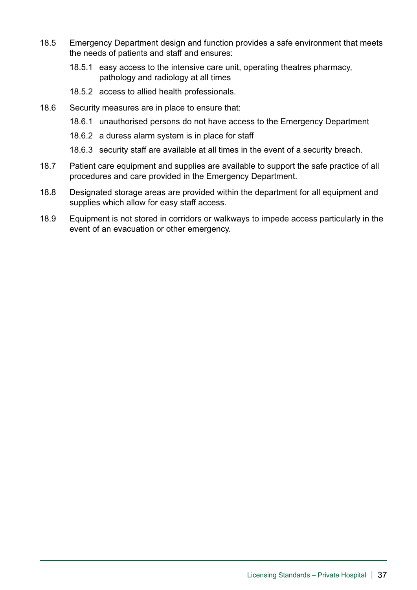- 18.5 Emergency Department design and function provides a safe environment that meets the needs of patients and staff and ensures:
	- 18.5.1 easy access to the intensive care unit, operating theatres pharmacy, pathology and radiology at all times
	- 18.5.2 access to allied health professionals.
- 18.6 Security measures are in place to ensure that:
	- 18.6.1 unauthorised persons do not have access to the Emergency Department
	- 18.6.2 a duress alarm system is in place for staff
	- 18.6.3 security staff are available at all times in the event of a security breach.
- 18.7 Patient care equipment and supplies are available to support the safe practice of all procedures and care provided in the Emergency Department.
- 18.8 Designated storage areas are provided within the department for all equipment and supplies which allow for easy staff access.
- 18.9 Equipment is not stored in corridors or walkways to impede access particularly in the event of an evacuation or other emergency.